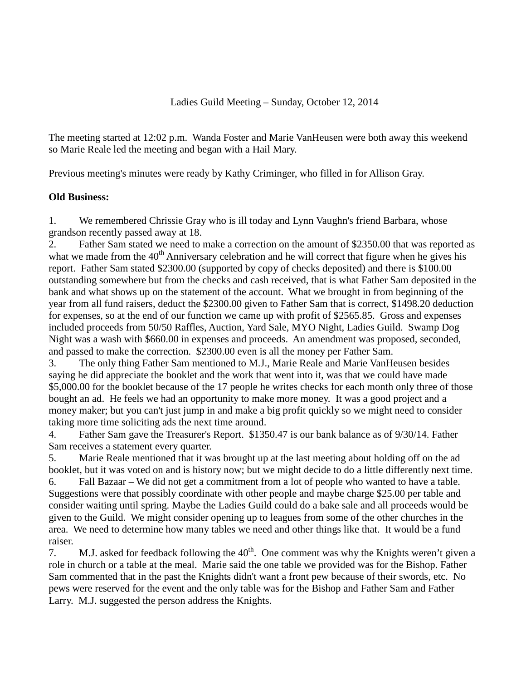The meeting started at 12:02 p.m. Wanda Foster and Marie VanHeusen were both away this weekend so Marie Reale led the meeting and began with a Hail Mary.

Previous meeting's minutes were ready by Kathy Criminger, who filled in for Allison Gray.

## **Old Business:**

1. We remembered Chrissie Gray who is ill today and Lynn Vaughn's friend Barbara, whose grandson recently passed away at 18.

2. Father Sam stated we need to make a correction on the amount of \$2350.00 that was reported as what we made from the  $40<sup>th</sup>$  Anniversary celebration and he will correct that figure when he gives his report. Father Sam stated \$2300.00 (supported by copy of checks deposited) and there is \$100.00 outstanding somewhere but from the checks and cash received, that is what Father Sam deposited in the bank and what shows up on the statement of the account. What we brought in from beginning of the year from all fund raisers, deduct the \$2300.00 given to Father Sam that is correct, \$1498.20 deduction for expenses, so at the end of our function we came up with profit of \$2565.85. Gross and expenses included proceeds from 50/50 Raffles, Auction, Yard Sale, MYO Night, Ladies Guild. Swamp Dog Night was a wash with \$660.00 in expenses and proceeds. An amendment was proposed, seconded, and passed to make the correction. \$2300.00 even is all the money per Father Sam.

3. The only thing Father Sam mentioned to M.J., Marie Reale and Marie VanHeusen besides saying he did appreciate the booklet and the work that went into it, was that we could have made \$5,000.00 for the booklet because of the 17 people he writes checks for each month only three of those bought an ad. He feels we had an opportunity to make more money. It was a good project and a money maker; but you can't just jump in and make a big profit quickly so we might need to consider taking more time soliciting ads the next time around.

4. Father Sam gave the Treasurer's Report. \$1350.47 is our bank balance as of 9/30/14. Father Sam receives a statement every quarter.

5. Marie Reale mentioned that it was brought up at the last meeting about holding off on the ad booklet, but it was voted on and is history now; but we might decide to do a little differently next time.

6. Fall Bazaar – We did not get a commitment from a lot of people who wanted to have a table. Suggestions were that possibly coordinate with other people and maybe charge \$25.00 per table and consider waiting until spring. Maybe the Ladies Guild could do a bake sale and all proceeds would be given to the Guild. We might consider opening up to leagues from some of the other churches in the area. We need to determine how many tables we need and other things like that. It would be a fund raiser.

7. M.J. asked for feedback following the  $40<sup>th</sup>$ . One comment was why the Knights weren't given a role in church or a table at the meal. Marie said the one table we provided was for the Bishop. Father Sam commented that in the past the Knights didn't want a front pew because of their swords, etc. No pews were reserved for the event and the only table was for the Bishop and Father Sam and Father Larry. M.J. suggested the person address the Knights.